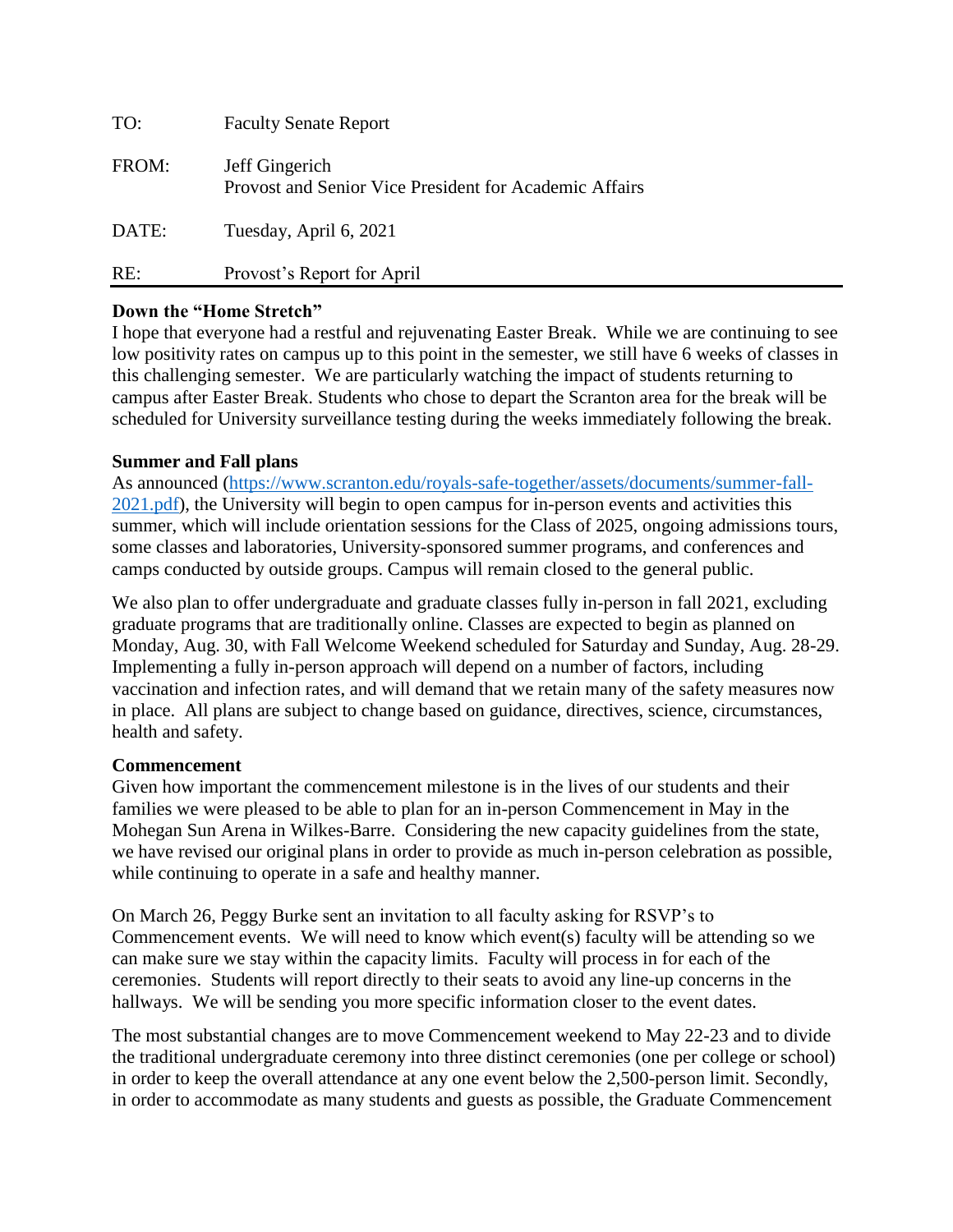| TO:   | <b>Faculty Senate Report</b>                                             |
|-------|--------------------------------------------------------------------------|
| FROM: | Jeff Gingerich<br>Provost and Senior Vice President for Academic Affairs |
| DATE: | Tuesday, April 6, 2021                                                   |
| RE:   | Provost's Report for April                                               |

## **Down the "Home Stretch"**

I hope that everyone had a restful and rejuvenating Easter Break. While we are continuing to see low positivity rates on campus up to this point in the semester, we still have 6 weeks of classes in this challenging semester. We are particularly watching the impact of students returning to campus after Easter Break. Students who chose to depart the Scranton area for the break will be scheduled for University surveillance testing during the weeks immediately following the break.

#### **Summer and Fall plans**

As announced [\(https://www.scranton.edu/royals-safe-together/assets/documents/summer-fall-](https://www.scranton.edu/royals-safe-together/assets/documents/summer-fall-2021.pdf)[2021.pdf\)](https://www.scranton.edu/royals-safe-together/assets/documents/summer-fall-2021.pdf), the University will begin to open campus for in-person events and activities this summer, which will include orientation sessions for the Class of 2025, ongoing admissions tours, some classes and laboratories, University-sponsored summer programs, and conferences and camps conducted by outside groups. Campus will remain closed to the general public.

We also plan to offer undergraduate and graduate classes fully in-person in fall 2021, excluding graduate programs that are traditionally online. Classes are expected to begin as planned on Monday, Aug. 30, with Fall Welcome Weekend scheduled for Saturday and Sunday, Aug. 28-29. Implementing a fully in-person approach will depend on a number of factors, including vaccination and infection rates, and will demand that we retain many of the safety measures now in place. All plans are subject to change based on guidance, directives, science, circumstances, health and safety.

#### **Commencement**

Given how important the commencement milestone is in the lives of our students and their families we were pleased to be able to plan for an in-person Commencement in May in the Mohegan Sun Arena in Wilkes-Barre. Considering the new capacity guidelines from the state, we have revised our original plans in order to provide as much in-person celebration as possible, while continuing to operate in a safe and healthy manner.

On March 26, Peggy Burke sent an invitation to all faculty asking for RSVP's to Commencement events. We will need to know which event(s) faculty will be attending so we can make sure we stay within the capacity limits. Faculty will process in for each of the ceremonies. Students will report directly to their seats to avoid any line-up concerns in the hallways. We will be sending you more specific information closer to the event dates.

The most substantial changes are to move Commencement weekend to May 22-23 and to divide the traditional undergraduate ceremony into three distinct ceremonies (one per college or school) in order to keep the overall attendance at any one event below the 2,500-person limit. Secondly, in order to accommodate as many students and guests as possible, the Graduate Commencement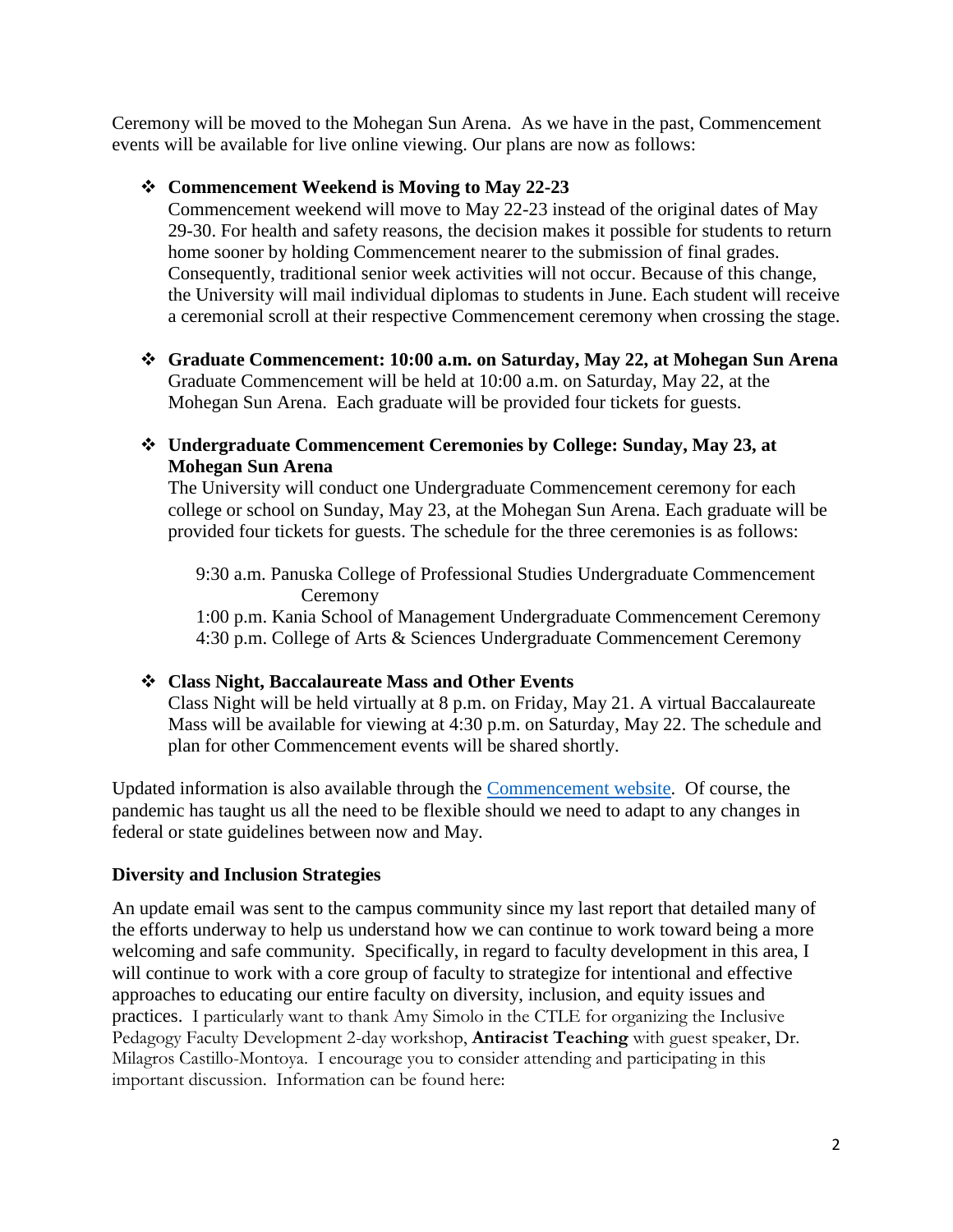Ceremony will be moved to the Mohegan Sun Arena. As we have in the past, Commencement events will be available for live online viewing. Our plans are now as follows:

## ❖ **Commencement Weekend is Moving to May 22-23**

Commencement weekend will move to May 22-23 instead of the original dates of May 29-30. For health and safety reasons, the decision makes it possible for students to return home sooner by holding Commencement nearer to the submission of final grades. Consequently, traditional senior week activities will not occur. Because of this change, the University will mail individual diplomas to students in June. Each student will receive a ceremonial scroll at their respective Commencement ceremony when crossing the stage.

❖ **Graduate Commencement: 10:00 a.m. on Saturday, May 22, at Mohegan Sun Arena** Graduate Commencement will be held at 10:00 a.m. on Saturday, May 22, at the Mohegan Sun Arena. Each graduate will be provided four tickets for guests.

# ❖ **Undergraduate Commencement Ceremonies by College: Sunday, May 23, at Mohegan Sun Arena**

The University will conduct one Undergraduate Commencement ceremony for each college or school on Sunday, May 23, at the Mohegan Sun Arena. Each graduate will be provided four tickets for guests. The schedule for the three ceremonies is as follows:

9:30 a.m. Panuska College of Professional Studies Undergraduate Commencement Ceremony

1:00 p.m. Kania School of Management Undergraduate Commencement Ceremony 4:30 p.m. College of Arts & Sciences Undergraduate Commencement Ceremony

# ❖ **Class Night, Baccalaureate Mass and Other Events**

Class Night will be held virtually at 8 p.m. on Friday, May 21. A virtual Baccalaureate Mass will be available for viewing at 4:30 p.m. on Saturday, May 22. The schedule and plan for other Commencement events will be shared shortly.

Updated information is also available through the [Commencement website.](https://www.scranton.edu/academics/registrar/graduate/index.shtml) Of course, the pandemic has taught us all the need to be flexible should we need to adapt to any changes in federal or state guidelines between now and May.

# **Diversity and Inclusion Strategies**

An update email was sent to the campus community since my last report that detailed many of the efforts underway to help us understand how we can continue to work toward being a more welcoming and safe community. Specifically, in regard to faculty development in this area, I will continue to work with a core group of faculty to strategize for intentional and effective approaches to educating our entire faculty on diversity, inclusion, and equity issues and practices. I particularly want to thank Amy Simolo in the CTLE for organizing the Inclusive Pedagogy Faculty Development 2-day workshop, **Antiracist Teaching** with guest speaker, Dr. Milagros Castillo-Montoya. I encourage you to consider attending and participating in this important discussion. Information can be found here: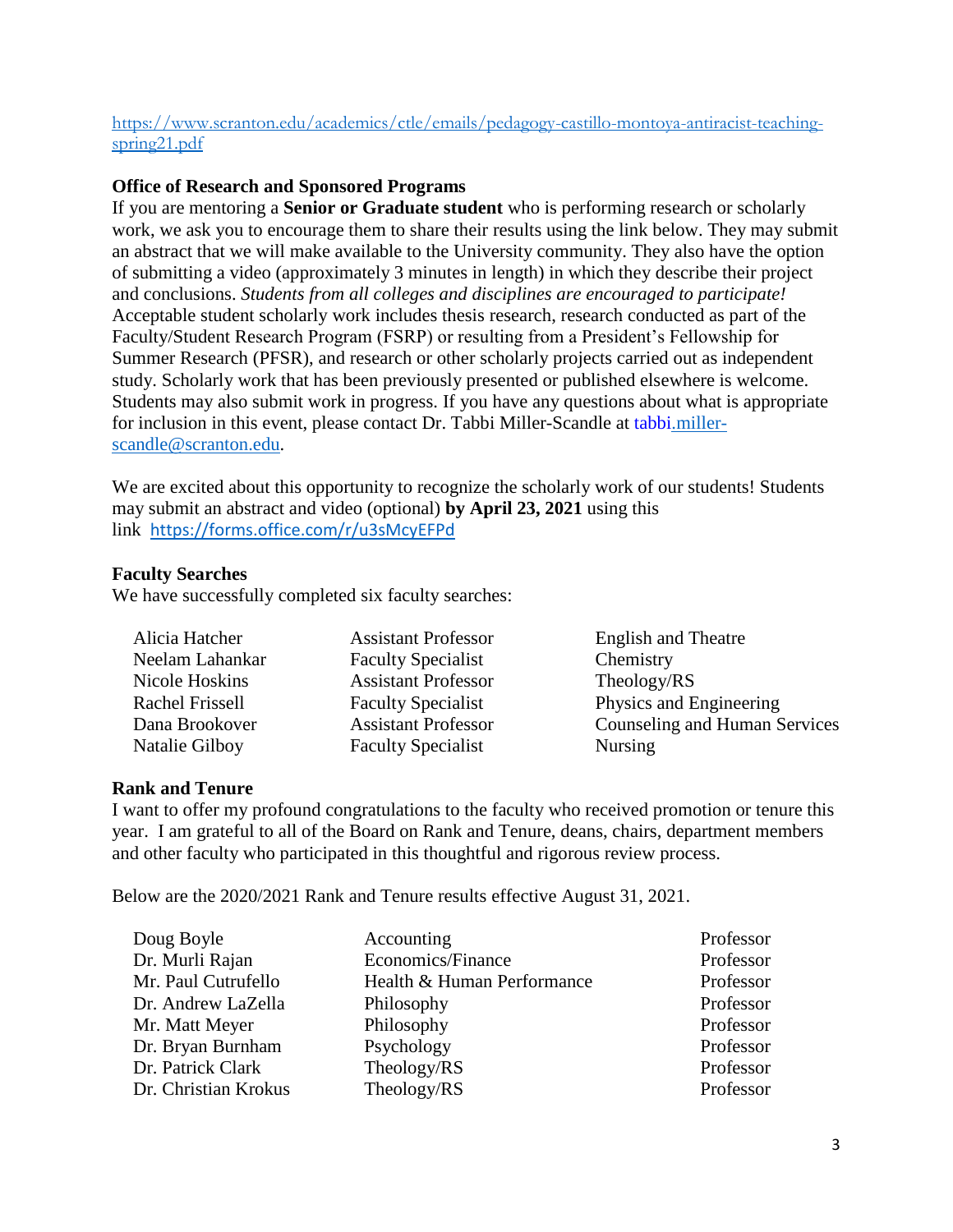## [https://www.scranton.edu/academics/ctle/emails/pedagogy-castillo-montoya-antiracist-teaching](https://www.scranton.edu/academics/ctle/emails/pedagogy-castillo-montoya-antiracist-teaching-spring21.pdf)[spring21.pdf](https://www.scranton.edu/academics/ctle/emails/pedagogy-castillo-montoya-antiracist-teaching-spring21.pdf)

# **Office of Research and Sponsored Programs**

If you are mentoring a **Senior or Graduate student** who is performing research or scholarly work, we ask you to encourage them to share their results using the link below. They may submit an abstract that we will make available to the University community. They also have the option of submitting a video (approximately 3 minutes in length) in which they describe their project and conclusions. *Students from all colleges and disciplines are encouraged to participate!* Acceptable student scholarly work includes thesis research, research conducted as part of the Faculty/Student Research Program (FSRP) or resulting from a President's Fellowship for Summer Research (PFSR), and research or other scholarly projects carried out as independent study. Scholarly work that has been previously presented or published elsewhere is welcome. Students may also submit work in progress. If you have any questions about what is appropriate for inclusion in this event, please contact Dr. Tabbi Miller-Scandle at [tabbi.miller](mailto:tabbi.miller-scandle@scranton.edu)[scandle@scranton.edu.](mailto:tabbi.miller-scandle@scranton.edu)

We are excited about this opportunity to recognize the scholarly work of our students! Students may submit an abstract and video (optional) **by April 23, 2021** using this link [https://forms.office.com/r/u3sMcyEFPd](https://nam10.safelinks.protection.outlook.com/?url=https%3A%2F%2Fforms.office.com%2Fr%2Fu3sMcyEFPd&data=04%7C01%7Ccatherine.murphy%40scranton.edu%7C00a8bc3714044c9256e608d8f9465aaf%7Ca8edc49a41f14c699768a7f6d7c3b8c3%7C0%7C0%7C637533428307850642%7CUnknown%7CTWFpbGZsb3d8eyJWIjoiMC4wLjAwMDAiLCJQIjoiV2luMzIiLCJBTiI6Ik1haWwiLCJXVCI6Mn0%3D%7C1000&sdata=Iokn%2FWGGydMPAZuaeVm7opmZ1MyXvSknnf3s01b7OZI%3D&reserved=0)

#### **Faculty Searches**

We have successfully completed six faculty searches:

| Alicia Hatcher  | <b>Assistant Professor</b> | <b>English and Theatre</b>    |
|-----------------|----------------------------|-------------------------------|
| Neelam Lahankar | <b>Faculty Specialist</b>  | Chemistry                     |
| Nicole Hoskins  | <b>Assistant Professor</b> | Theology/RS                   |
| Rachel Frissell | <b>Faculty Specialist</b>  | Physics and Engineering       |
| Dana Brookover  | <b>Assistant Professor</b> | Counseling and Human Services |
| Natalie Gilboy  | <b>Faculty Specialist</b>  | <b>Nursing</b>                |

# **Rank and Tenure**

I want to offer my profound congratulations to the faculty who received promotion or tenure this year. I am grateful to all of the Board on Rank and Tenure, deans, chairs, department members and other faculty who participated in this thoughtful and rigorous review process.

Below are the 2020/2021 Rank and Tenure results effective August 31, 2021.

| Doug Boyle           | Accounting                 | Professor |
|----------------------|----------------------------|-----------|
| Dr. Murli Rajan      | Economics/Finance          | Professor |
| Mr. Paul Cutrufello  | Health & Human Performance | Professor |
| Dr. Andrew LaZella   | Philosophy                 | Professor |
| Mr. Matt Meyer       | Philosophy                 | Professor |
| Dr. Bryan Burnham    | Psychology                 | Professor |
| Dr. Patrick Clark    | Theology/RS                | Professor |
| Dr. Christian Krokus | Theology/RS                | Professor |
|                      |                            |           |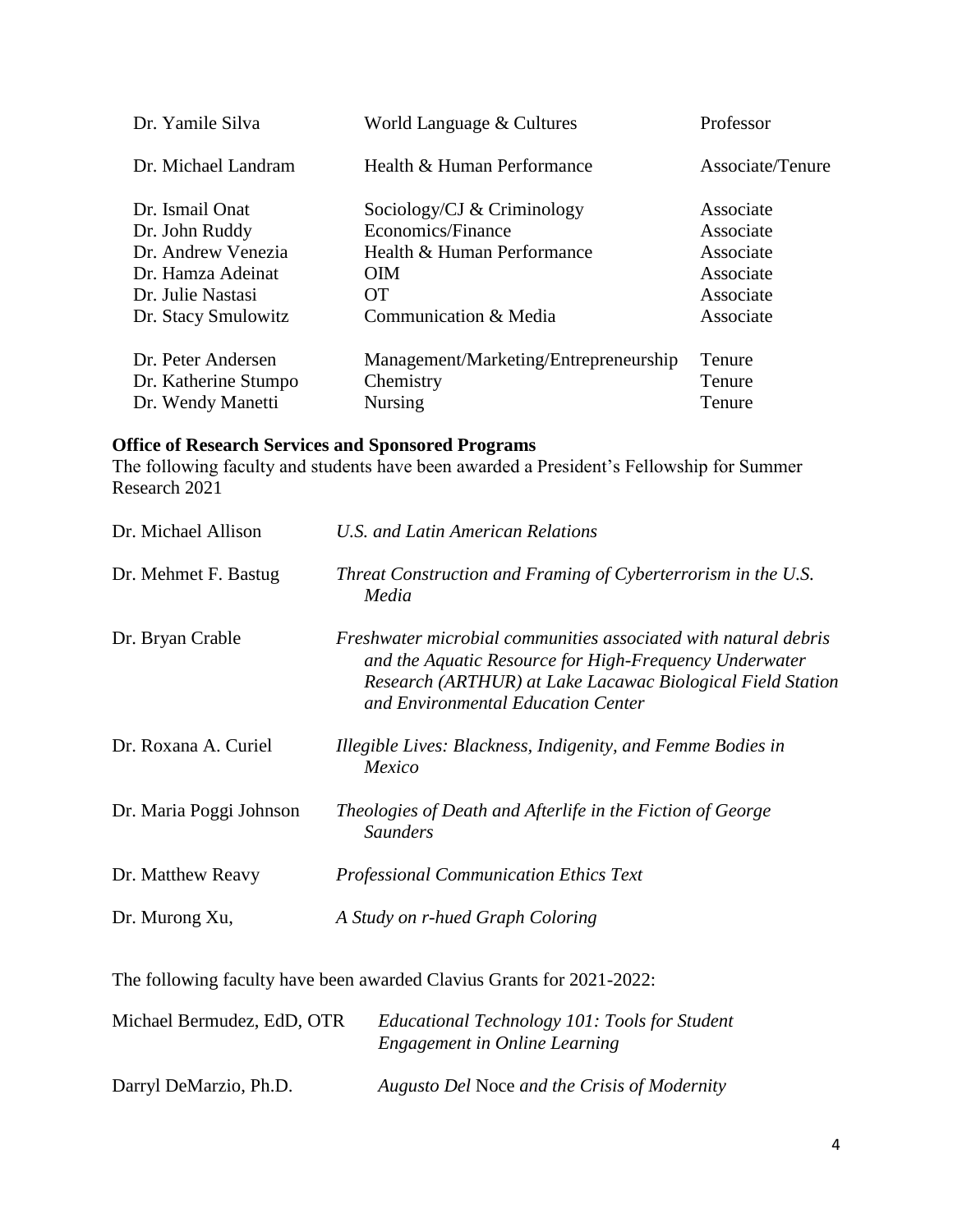| Dr. Yamile Silva                                                | World Language & Cultures                                            | Professor                  |
|-----------------------------------------------------------------|----------------------------------------------------------------------|----------------------------|
| Dr. Michael Landram                                             | Health & Human Performance                                           | Associate/Tenure           |
| Dr. Ismail Onat                                                 | Sociology/CJ $&$ Criminology                                         | Associate                  |
| Dr. John Ruddy                                                  | Economics/Finance                                                    | Associate                  |
| Dr. Andrew Venezia                                              | Health & Human Performance                                           | Associate                  |
| Dr. Hamza Adeinat                                               | <b>OIM</b>                                                           | Associate                  |
| Dr. Julie Nastasi                                               | <b>OT</b>                                                            | Associate                  |
| Dr. Stacy Smulowitz                                             | Communication & Media                                                | Associate                  |
| Dr. Peter Andersen<br>Dr. Katherine Stumpo<br>Dr. Wendy Manetti | Management/Marketing/Entrepreneurship<br>Chemistry<br><b>Nursing</b> | Tenure<br>Tenure<br>Tenure |

#### **Office of Research Services and Sponsored Programs**

The following faculty and students have been awarded a President's Fellowship for Summer Research 2021

| Dr. Michael Allison     | U.S. and Latin American Relations                                                                                                                                                                                             |
|-------------------------|-------------------------------------------------------------------------------------------------------------------------------------------------------------------------------------------------------------------------------|
| Dr. Mehmet F. Bastug    | Threat Construction and Framing of Cyberterrorism in the U.S.<br>Media                                                                                                                                                        |
| Dr. Bryan Crable        | Freshwater microbial communities associated with natural debris<br>and the Aquatic Resource for High-Frequency Underwater<br>Research (ARTHUR) at Lake Lacawac Biological Field Station<br>and Environmental Education Center |
| Dr. Roxana A. Curiel    | Illegible Lives: Blackness, Indigenity, and Femme Bodies in<br>Mexico                                                                                                                                                         |
| Dr. Maria Poggi Johnson | Theologies of Death and Afterlife in the Fiction of George<br><b>Saunders</b>                                                                                                                                                 |
| Dr. Matthew Reavy       | <b>Professional Communication Ethics Text</b>                                                                                                                                                                                 |
| Dr. Murong Xu,          | A Study on r-hued Graph Coloring                                                                                                                                                                                              |

The following faculty have been awarded Clavius Grants for 2021-2022:

| Michael Bermudez, EdD, OTR | Educational Technology 101: Tools for Student<br>Engagement in Online Learning |
|----------------------------|--------------------------------------------------------------------------------|
| Darryl DeMarzio, Ph.D.     | Augusto Del Noce and the Crisis of Modernity                                   |